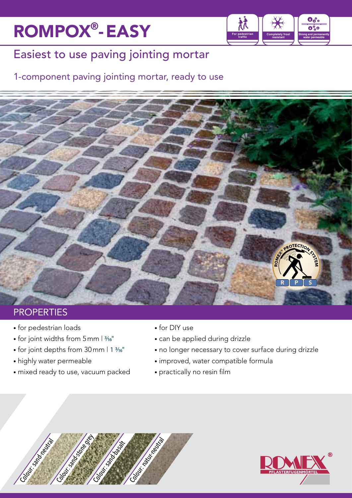# ROMPOX®-EASY



## Easiest to use paving jointing mortar

### 1-component paving jointing mortar, ready to use



### **PROPERTIES**

- for pedestrian loads
- for joint widths from 5 mm |  $\frac{3}{16}$ "
- for joint depths from 30 mm | 1 3/16"
- highly water permeable
- mixed ready to use, vacuum packed
- for DIY use
- can be applied during drizzle
- no longer necessary to cover surface during drizzle
- improved, water compatible formula
- practically no resin film